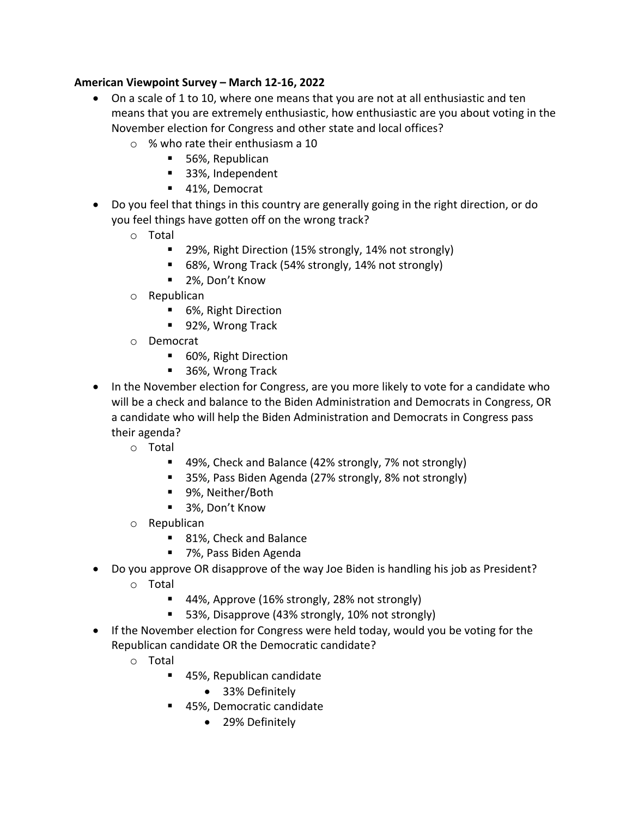## **American Viewpoint Survey – March 12-16, 2022**

- On a scale of 1 to 10, where one means that you are not at all enthusiastic and ten means that you are extremely enthusiastic, how enthusiastic are you about voting in the November election for Congress and other state and local offices?
	- o % who rate their enthusiasm a 10
		- 56%, Republican
		- 33%, Independent
		- 41%, Democrat
- Do you feel that things in this country are generally going in the right direction, or do you feel things have gotten off on the wrong track?
	- o Total
		- 29%, Right Direction (15% strongly, 14% not strongly)
		- 68%, Wrong Track (54% strongly, 14% not strongly)
		- 2%, Don't Know
	- o Republican
		- 6%, Right Direction
		- 92%, Wrong Track
	- o Democrat
		- 60%, Right Direction
		- 36%, Wrong Track
- In the November election for Congress, are you more likely to vote for a candidate who will be a check and balance to the Biden Administration and Democrats in Congress, OR a candidate who will help the Biden Administration and Democrats in Congress pass their agenda?
	- o Total
		- 49%, Check and Balance (42% strongly, 7% not strongly)
		- 35%, Pass Biden Agenda (27% strongly, 8% not strongly)
		- 9%, Neither/Both
		- 3%, Don't Know
	- o Republican
		- 81%, Check and Balance
		- 7%, Pass Biden Agenda
- Do you approve OR disapprove of the way Joe Biden is handling his job as President?
	- o Total
		- 44%, Approve (16% strongly, 28% not strongly)
		- 53%, Disapprove (43% strongly, 10% not strongly)
- If the November election for Congress were held today, would you be voting for the Republican candidate OR the Democratic candidate?
	- o Total
		- 45%, Republican candidate
			- 33% Definitely
		- 45%, Democratic candidate
			- 29% Definitely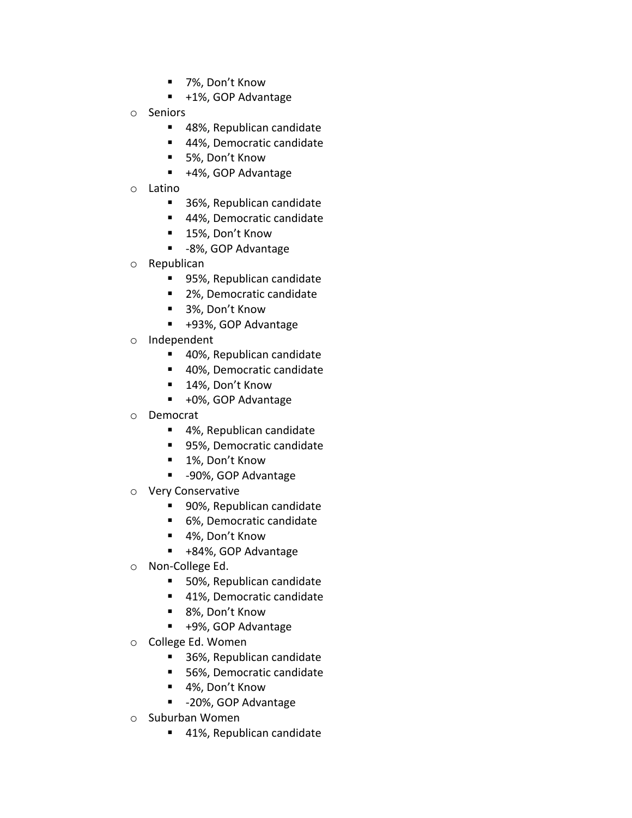- 7%, Don't Know
- +1%, GOP Advantage
- o Seniors
	- 48%, Republican candidate
	- 44%, Democratic candidate
	- 5%, Don't Know
	- +4%, GOP Advantage
- o Latino
	- 36%, Republican candidate
	- 44%, Democratic candidate
	- 15%, Don't Know
	- -8%, GOP Advantage
- o Republican
	- 95%, Republican candidate
	- 2%, Democratic candidate
	- 3%, Don't Know
	- +93%, GOP Advantage
- o Independent
	- 40%, Republican candidate
	- 40%, Democratic candidate
	- 14%, Don't Know
	- +0%, GOP Advantage
- o Democrat
	- 4%, Republican candidate
	- 95%, Democratic candidate
	- 1%, Don't Know
	- -90%, GOP Advantage
- o Very Conservative
	- 90%, Republican candidate
	- 6%, Democratic candidate
	- 4%, Don't Know
	- +84%, GOP Advantage
- o Non-College Ed.
	- 50%, Republican candidate
	- 41%, Democratic candidate
	- 8%, Don't Know
	- +9%, GOP Advantage
- o College Ed. Women
	- 36%, Republican candidate
	- 56%, Democratic candidate
	- 4%, Don't Know
	- -20%, GOP Advantage
- o Suburban Women
	- 41%, Republican candidate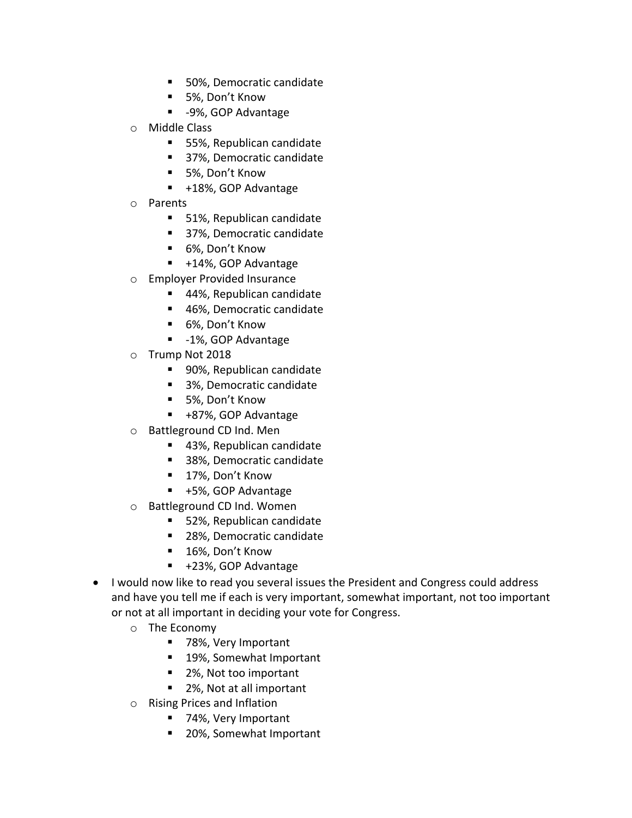- 50%, Democratic candidate
- 5%, Don't Know
- -9%, GOP Advantage
- o Middle Class
	- 55%, Republican candidate
	- 37%, Democratic candidate
	- 5%, Don't Know
	- +18%, GOP Advantage
- o Parents
	- 51%, Republican candidate
	- 37%, Democratic candidate
	- 6%, Don't Know
	- +14%, GOP Advantage
- o Employer Provided Insurance
	- 44%, Republican candidate
	- 46%, Democratic candidate
	- 6%, Don't Know
	- -1%, GOP Advantage
- o Trump Not 2018
	- 90%, Republican candidate
	- 3%, Democratic candidate
	- 5%, Don't Know
	- +87%, GOP Advantage
- o Battleground CD Ind. Men
	- 43%, Republican candidate
	- 38%, Democratic candidate
	- 17%, Don't Know
	- +5%, GOP Advantage
- o Battleground CD Ind. Women
	- 52%, Republican candidate
	- 28%, Democratic candidate
	- 16%, Don't Know
	- +23%, GOP Advantage
- I would now like to read you several issues the President and Congress could address and have you tell me if each is very important, somewhat important, not too important or not at all important in deciding your vote for Congress.
	- o The Economy
		- 78%, Very Important
		- 19%, Somewhat Important
		- 2%, Not too important
		- 2%, Not at all important
	- o Rising Prices and Inflation
		- 74%, Very Important
		- 20%, Somewhat Important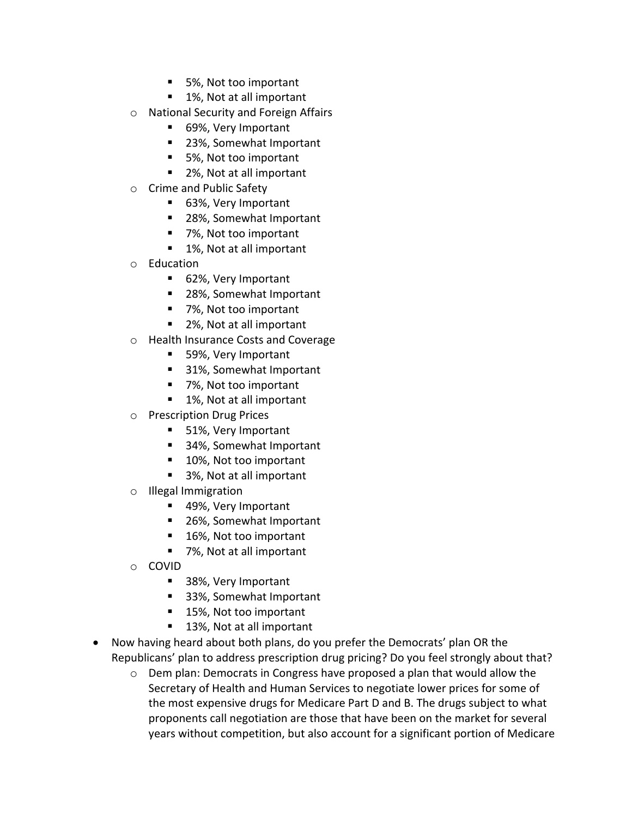- 5%, Not too important
- 1%, Not at all important
- o National Security and Foreign Affairs
	- 69%, Very Important
	- 23%, Somewhat Important
	- 5%, Not too important
	- 2%, Not at all important
- o Crime and Public Safety
	- 63%, Very Important
	- 28%, Somewhat Important
	- 7%, Not too important
	- 1%, Not at all important
- o Education
	- 62%, Very Important
	- 28%, Somewhat Important
	- 7%, Not too important
	- 2%, Not at all important
- o Health Insurance Costs and Coverage
	- 59%, Very Important
	- 31%, Somewhat Important
	- 7%, Not too important
	- 1%, Not at all important
- o Prescription Drug Prices
	- 51%, Very Important
	- 34%, Somewhat Important
	- 10%, Not too important
	- 3%, Not at all important
- o Illegal Immigration
	- 49%, Very Important
	- 26%, Somewhat Important
	- 16%, Not too important
	- 7%, Not at all important
- o COVID
	- 38%, Very Important
	- 33%, Somewhat Important
	- 15%, Not too important
	- 13%, Not at all important
- Now having heard about both plans, do you prefer the Democrats' plan OR the Republicans' plan to address prescription drug pricing? Do you feel strongly about that?
	- $\circ$  Dem plan: Democrats in Congress have proposed a plan that would allow the Secretary of Health and Human Services to negotiate lower prices for some of the most expensive drugs for Medicare Part D and B. The drugs subject to what proponents call negotiation are those that have been on the market for several years without competition, but also account for a significant portion of Medicare